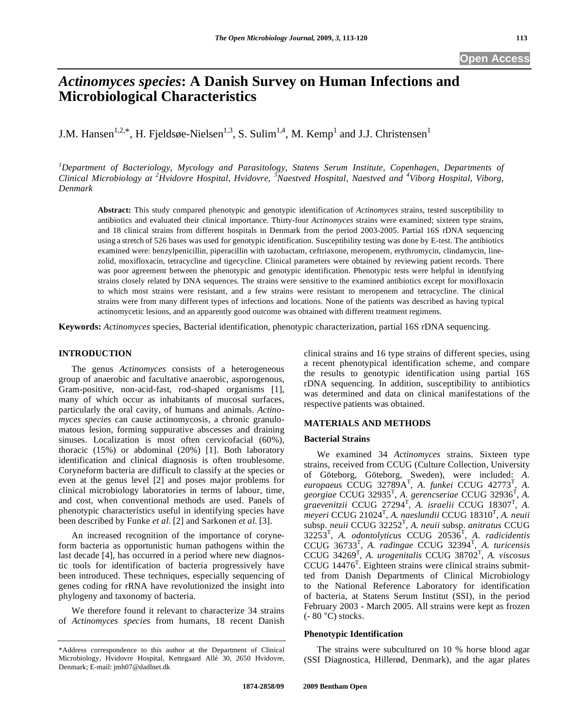# *Actinomyces species***: A Danish Survey on Human Infections and Microbiological Characteristics**

J.M. Hansen<sup>1,2,\*</sup>, H. Fjeldsøe-Nielsen<sup>1,3</sup>, S. Sulim<sup>1,4</sup>, M. Kemp<sup>1</sup> and J.J. Christensen<sup>1</sup>

*1 Department of Bacteriology, Mycology and Parasitology, Statens Serum Institute, Copenhagen, Departments of Clinical Microbiology at <sup>2</sup> Hvidovre Hospital, Hvidovre, <sup>3</sup> Naestved Hospital, Naestved and <sup>4</sup> Viborg Hospital, Viborg, Denmark* 

**Abstract:** This study compared phenotypic and genotypic identification of *Actinomyces* strains, tested susceptibility to antibiotics and evaluated their clinical importance. Thirty-four *Actinomyces* strains were examined; sixteen type strains, and 18 clinical strains from different hospitals in Denmark from the period 2003-2005. Partial 16S rDNA sequencing using a stretch of 526 bases was used for genotypic identification. Susceptibility testing was done by E-test. The antibiotics examined were: benzylpenicillin, piperacillin with tazobactam, ceftriaxone, meropenem, erythromycin, clindamycin, linezolid, moxifloxacin, tetracycline and tigecycline. Clinical parameters were obtained by reviewing patient records. There was poor agreement between the phenotypic and genotypic identification. Phenotypic tests were helpful in identifying strains closely related by DNA sequences. The strains were sensitive to the examined antibiotics except for moxifloxacin to which most strains were resistant, and a few strains were resistant to meropenem and tetracycline. The clinical strains were from many different types of infections and locations. None of the patients was described as having typical actinomycetic lesions, and an apparently good outcome was obtained with different treatment regimens.

**Keywords:** *Actinomyces* species, Bacterial identification, phenotypic characterization, partial 16S rDNA sequencing.

# **INTRODUCTION**

 The genus *Actinomyces* consists of a heterogeneous group of anaerobic and facultative anaerobic, asporogenous, Gram-positive, non-acid-fast, rod-shaped organisms [1], many of which occur as inhabitants of mucosal surfaces, particularly the oral cavity, of humans and animals. *Actinomyces species* can cause actinomycosis, a chronic granulomatous lesion, forming suppurative abscesses and draining sinuses. Localization is most often cervicofacial (60%), thoracic (15%) or abdominal (20%) [1]. Both laboratory identification and clinical diagnosis is often troublesome. Coryneform bacteria are difficult to classify at the species or even at the genus level [2] and poses major problems for clinical microbiology laboratories in terms of labour, time, and cost, when conventional methods are used. Panels of phenotypic characteristics useful in identifying species have been described by Funke *et al*. [2] and Sarkonen *et al*. [3].

 An increased recognition of the importance of coryneform bacteria as opportunistic human pathogens within the last decade [4], has occurred in a period where new diagnostic tools for identification of bacteria progressively have been introduced. These techniques, especially sequencing of genes coding for rRNA have revolutionized the insight into phylogeny and taxonomy of bacteria.

 We therefore found it relevant to characterize 34 strains of *Actinomyces species* from humans, 18 recent Danish clinical strains and 16 type strains of different species, using a recent phenotypical identification scheme, and compare the results to genotypic identification using partial 16S rDNA sequencing. In addition, susceptibility to antibiotics was determined and data on clinical manifestations of the respective patients was obtained.

#### **MATERIALS AND METHODS**

#### **Bacterial Strains**

 We examined 34 *Actinomyces* strains. Sixteen type strains, received from CCUG (Culture Collection, University of Göteborg, Göteborg, Sweden), were included: *A. europaeus* CCUG 32789A<sup>T</sup> , *A. funkei* CCUG 42773<sup>T</sup> , *A. georgiae* CCUG 32935<sup>T</sup> , *A. gerencseriae* CCUG 32936<sup>T</sup> , *A. graevenitzii* CCUG 27294<sup>T</sup> , *A. israelii* CCUG 18307<sup>T</sup> , *A. meyeri* CCUG 21024<sup>T</sup> , *A. naeslundii* CCUG 18310<sup>T</sup> , *A. neuii* subsp. *neuii* CCUG 32252<sup>T</sup> *, A. neuii* subsp. *anitratus* CCUG 32253<sup>T</sup> , *A. odontolyticus* CCUG 20536<sup>T</sup> , *A. radicidentis* CCUG 36733<sup>T</sup> , *A. radingae* CCUG 32394<sup>T</sup> , *A. turicensis* CCUG 34269<sup>T</sup> , *A. urogenitalis* CCUG 38702<sup>T</sup> , *A. viscosus* CCUG 14476<sup>T</sup>. Eighteen strains were clinical strains submitted from Danish Departments of Clinical Microbiology to the National Reference Laboratory for identification of bacteria, at Statens Serum Institut (SSI), in the period February 2003 - March 2005. All strains were kept as frozen (- 80 °C) stocks.

# **Phenotypic Identification**

 The strains were subcultured on 10 % horse blood agar (SSI Diagnostica, Hillerød, Denmark), and the agar plates

<sup>\*</sup>Address correspondence to this author at the Department of Clinical Microbiology, Hvidovre Hospital, Kettegaard Allé 30, 2650 Hvidovre, Denmark; E-mail: jmh07@dadlnet.dk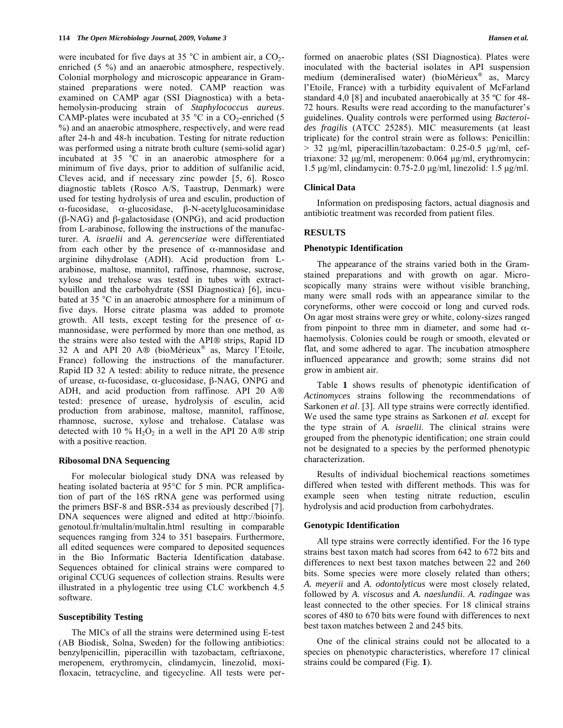were incubated for five days at 35  $^{\circ}$ C in ambient air, a CO<sub>2</sub>enriched (5 %) and an anaerobic atmosphere, respectively. Colonial morphology and microscopic appearance in Gramstained preparations were noted. CAMP reaction was examined on CAMP agar (SSI Diagnostica) with a betahemolysin-producing strain of *Staphylococcus aureus*. CAMP-plates were incubated at 35  $^{\circ}$ C in a CO<sub>2</sub>-enriched (5) %) and an anaerobic atmosphere, respectively, and were read after 24-h and 48-h incubation. Testing for nitrate reduction was performed using a nitrate broth culture (semi-solid agar) incubated at 35 °C in an anaerobic atmosphere for a minimum of five days, prior to addition of sulfanilic acid, Cleves acid, and if necessary zinc powder [5, 6]. Rosco diagnostic tablets (Rosco A/S, Taastrup, Denmark) were used for testing hydrolysis of urea and esculin, production of  $\alpha$ -fucosidase,  $\alpha$ -glucosidase,  $\beta$ -N-acetylglucosaminidase (β-NAG) and β-galactosidase (ONPG), and acid production from L-arabinose, following the instructions of the manufacturer. *A. israelii* and *A. gerencseriae* were differentiated from each other by the presence of  $\alpha$ -mannosidase and arginine dihydrolase (ADH). Acid production from Larabinose, maltose, mannitol, raffinose, rhamnose, sucrose, xylose and trehalose was tested in tubes with extractbouillon and the carbohydrate (SSI Diagnostica) [6], incubated at 35 °C in an anaerobic atmosphere for a minimum of five days. Horse citrate plasma was added to promote growth. All tests, except testing for the presence of  $\alpha$ mannosidase, were performed by more than one method, as the strains were also tested with the API® strips, Rapid ID 32 A and API 20 A® (bioMérieux® as, Marcy l'Etoile, France) following the instructions of the manufacturer. Rapid ID 32 A tested: ability to reduce nitrate, the presence of urease,  $\alpha$ -fucosidase,  $\alpha$ -glucosidase,  $\beta$ -NAG, ONPG and ADH, and acid production from raffinose. API 20 A® tested: presence of urease, hydrolysis of esculin, acid production from arabinose, maltose, mannitol, raffinose, rhamnose, sucrose, xylose and trehalose. Catalase was detected with 10 %  $H_2O_2$  in a well in the API 20 A ® strip with a positive reaction.

#### **Ribosomal DNA Sequencing**

 For molecular biological study DNA was released by heating isolated bacteria at 95°C for 5 min. PCR amplification of part of the 16S rRNA gene was performed using the primers BSF-8 and BSR-534 as previously described [7]. DNA sequences were aligned and edited at http://bioinfo. genotoul.fr/multalin/multalin.html resulting in comparable sequences ranging from 324 to 351 basepairs. Furthermore, all edited sequences were compared to deposited sequences in the Bio Informatic Bacteria Identification database. Sequences obtained for clinical strains were compared to original CCUG sequences of collection strains. Results were illustrated in a phylogentic tree using CLC workbench 4.5 software.

# **Susceptibility Testing**

 The MICs of all the strains were determined using E-test (AB Biodisk, Solna, Sweden) for the following antibiotics: benzylpenicillin, piperacillin with tazobactam, ceftriaxone, meropenem, erythromycin, clindamycin, linezolid, moxifloxacin, tetracycline, and tigecycline. All tests were performed on anaerobic plates (SSI Diagnostica). Plates were inoculated with the bacterial isolates in API suspension medium (demineralised water) (bioMérieux<sup>®</sup> as, Marcy l'Etoile, France) with a turbidity equivalent of McFarland standard 4,0 [8] and incubated anaerobically at 35 ºC for 48- 72 hours. Results were read according to the manufacturer's guidelines. Quality controls were performed using *Bacteroides fragilis* (ATCC 25285). MIC measurements (at least triplicate) for the control strain were as follows: Penicillin: > 32 μg/ml, piperacillin/tazobactam: 0.25-0.5 μg/ml, ceftriaxone: 32 μg/ml, meropenem: 0.064 μg/ml, erythromycin: 1.5 μg/ml, clindamycin: 0.75-2.0 μg/ml, linezolid: 1.5 μg/ml.

#### **Clinical Data**

 Information on predisposing factors, actual diagnosis and antibiotic treatment was recorded from patient files.

# **RESULTS**

# **Phenotypic Identification**

 The appearance of the strains varied both in the Gramstained preparations and with growth on agar. Microscopically many strains were without visible branching, many were small rods with an appearance similar to the coryneforms, other were coccoid or long and curved rods. On agar most strains were grey or white, colony-sizes ranged from pinpoint to three mm in diameter, and some had  $\alpha$ haemolysis. Colonies could be rough or smooth, elevated or flat, and some adhered to agar. The incubation atmosphere influenced appearance and growth; some strains did not grow in ambient air.

 Table **1** shows results of phenotypic identification of *Actinomyces* strains following the recommendations of Sarkonen *et al*. [3]. All type strains were correctly identified. We used the same type strains as Sarkonen *et al*. except for the type strain of *A. israelii*. The clinical strains were grouped from the phenotypic identification; one strain could not be designated to a species by the performed phenotypic characterization.

 Results of individual biochemical reactions sometimes differed when tested with different methods. This was for example seen when testing nitrate reduction, esculin hydrolysis and acid production from carbohydrates.

#### **Genotypic Identification**

 All type strains were correctly identified. For the 16 type strains best taxon match had scores from 642 to 672 bits and differences to next best taxon matches between 22 and 260 bits. Some species were more closely related than others; *A. meyerii* and *A. odontolyticus* were most closely related, followed by *A. viscosus* and *A. naeslundii*. *A. radingae* was least connected to the other species. For 18 clinical strains scores of 480 to 670 bits were found with differences to next best taxon matches between 2 and 245 bits.

 One of the clinical strains could not be allocated to a species on phenotypic characteristics, wherefore 17 clinical strains could be compared (Fig. **1**).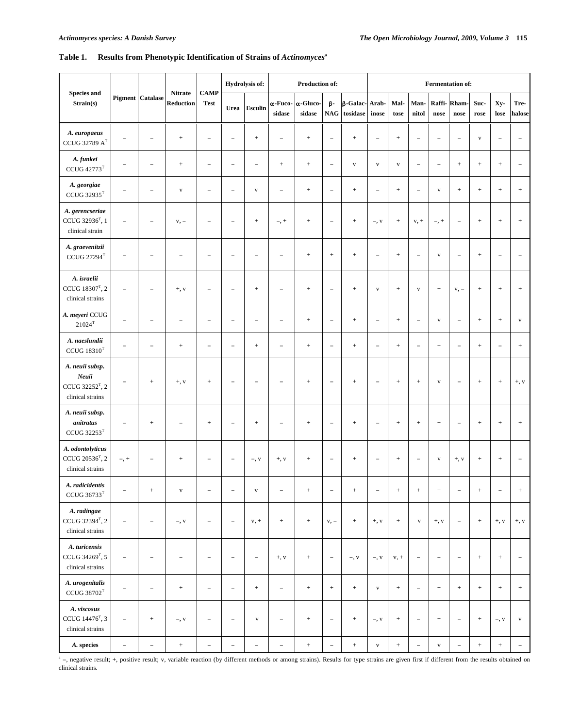# Table 1. Results from Phenotypic Identification of Strains of *Actinomyces*<sup>a</sup>

|                                                                             |                          |                          |                             |                            | Hydrolysis of:           |                          | Production of:           |                            |                          |                                  | <b>Fermentation of:</b>  |                  |                          |                          |                          |              |                |                   |
|-----------------------------------------------------------------------------|--------------------------|--------------------------|-----------------------------|----------------------------|--------------------------|--------------------------|--------------------------|----------------------------|--------------------------|----------------------------------|--------------------------|------------------|--------------------------|--------------------------|--------------------------|--------------|----------------|-------------------|
| <b>Species and</b><br>Strain(s)                                             |                          | <b>Pigment</b> Catalase  | <b>Nitrate</b><br>Reduction | <b>CAMP</b><br><b>Test</b> | Urea                     | <b>Esculin</b>           | α-Fuco-<br>sidase        | $\alpha$ -Gluco-<br>sidase | β-<br><b>NAG</b>         | <b>B-Galac-Arab-</b><br>tosidase | inose                    | Mal-<br>tose     | Man-<br>nitol            | nose                     | Raffi-Rham-<br>nose      | Suc-<br>rose | Xy-<br>lose    | Tre-<br>halose    |
| A. europaeus<br>CCUG 32789 $AT$                                             | $\qquad \qquad -$        |                          | $\! +$                      |                            | $\overline{\phantom{0}}$ | $+$                      | $\overline{\phantom{0}}$ | $\! +$                     | $\overline{\phantom{a}}$ | $\! +$                           | $\qquad \qquad -$        | $\! +$           |                          | $\overline{\phantom{a}}$ | $\overline{\phantom{a}}$ | $\mathbf{V}$ |                |                   |
| A. funkei<br>CCUG 42773 <sup>T</sup>                                        | $\qquad \qquad -$        | $\overline{\phantom{0}}$ | $\! +$                      | $\overline{\phantom{0}}$   | $\overline{\phantom{a}}$ | $\overline{\phantom{a}}$ | $\boldsymbol{+}$         | $\! +$                     | $\overline{\phantom{a}}$ | $\mathbf{V}$                     | $\mathbf{V}$             | $\mathbf{V}$     | $\qquad \qquad -$        | $\overline{\phantom{a}}$ | $\boldsymbol{+}$         | $^{+}$       | $^{+}$         |                   |
| A. georgiae<br>CCUG 32935 $T$                                               | $\overline{\phantom{a}}$ | $\qquad \qquad -$        | $\mathbf{V}$                | $\overline{\phantom{a}}$   | $\overline{\phantom{m}}$ | $\mathbf{V}$             | $\qquad \qquad -$        | $\! +$                     | $\overline{\phantom{a}}$ | $\! +$                           | $\ddot{\phantom{1}}$     | $^+$             | $\qquad \qquad -$        | $\mathbf{V}$             | $\boldsymbol{+}$         | $\ddot{}$    | $\! +$         | $\! +$            |
| A. gerencseriae<br>CCUG 32936 <sup>T</sup> , 1<br>clinical strain           | $\overline{\phantom{a}}$ |                          | $V, -$                      | $\overline{\phantom{a}}$   | $\qquad \qquad -$        | $\qquad \qquad +$        | $-$ , $+$                | $\boldsymbol{+}$           | $\overline{\phantom{m}}$ | $\! +$                           | $-$ , $\,$               | $\boldsymbol{+}$ | $v, +$                   | $-$ , +                  | $\qquad \qquad -$        | $^{+}$       |                | $+$               |
| A. graevenitzii<br>$\text{CCUG } 27294^\text{T}$                            | $\overline{a}$           |                          |                             |                            | $\overline{\phantom{a}}$ | L,                       |                          | $\! +$                     | $\boldsymbol{+}$         | $\! +$                           | $\overline{\phantom{m}}$ | $^+$             | $\overline{\phantom{a}}$ | $\mathbf{V}$             | $\overline{\phantom{a}}$ | $\ddot{}$    |                |                   |
| A. israelii<br>CCUG 18307 <sup>T</sup> , 2<br>clinical strains              | $\overline{\phantom{a}}$ | $\overline{\phantom{0}}$ | $+, v$                      | $\overline{\phantom{0}}$   | $\qquad \qquad -$        | $^+$                     | $\overline{\phantom{0}}$ | $\boldsymbol{+}$           | $\overline{\phantom{a}}$ | $^+$                             | $\mathbf{V}$             | $\boldsymbol{+}$ | $\mathbf{V}$             | $^+$                     | $V, -$                   | $^{+}$       | $\! +$         | $+$               |
| A. meyeri CCUG<br>$21024^T$                                                 | $\qquad \qquad -$        | ۳                        | $\overline{\phantom{0}}$    | $\overline{\phantom{0}}$   | $\overline{\phantom{m}}$ | $\overline{\phantom{a}}$ | $\overline{\phantom{0}}$ | $\! +$                     | $\overline{\phantom{0}}$ | $\! +$                           | $\overline{\phantom{a}}$ | $\! +$           | $\qquad \qquad -$        | $\mathbf{V}$             | $\equiv$                 |              | $\! +$         | $\mathbf{V}$      |
| A. naeslundii<br>CCUG $18310T$                                              | $\overline{\phantom{a}}$ | $\qquad \qquad -$        | $\! +$                      | $\overline{\phantom{a}}$   | $\overline{\phantom{m}}$ | $\boldsymbol{+}$         | $\overline{\phantom{a}}$ | $\! +$                     | $\overline{\phantom{0}}$ | $\boldsymbol{+}$                 | $\overline{\phantom{0}}$ | $\boldsymbol{+}$ | $\equiv$                 | $^+$                     | $\overline{\phantom{m}}$ | $\! + \!$    |                | $\! +$            |
| A. neuii subsp.<br>Neuii<br>CCUG 32252 <sup>T</sup> , 2<br>clinical strains | $\overline{a}$           | $^{+}$                   | $+, v$                      |                            |                          |                          |                          | $\boldsymbol{+}$           | $\overline{\phantom{a}}$ | $\boldsymbol{+}$                 | $\qquad \qquad -$        | $^+$             | $\! + \!\!\!\!$          | $\mathbf{V}$             | $\equiv$                 | $\! +$       | $\! +$         | $+, v$            |
| A. neuii subsp.<br>anitratus<br>$CCUG$ 32253 $T$                            | $\overline{\phantom{a}}$ | $^{+}$                   |                             | $^{+}$                     |                          |                          |                          | $\boldsymbol{+}$           | $\overline{\phantom{m}}$ | $\boldsymbol{+}$                 | $\overline{\phantom{m}}$ | $\! +$           | $\! + \!\!\!\!$          | $^+$                     | $\overline{\phantom{a}}$ | $^{+}$       | $^{+}$         | $\ddot{}$         |
| A. odontolyticus<br>CCUG 20536 <sup>T</sup> , 2<br>clinical strains         | $-$ , +                  |                          | $^{+}$                      |                            |                          | $- ,$ ${\bf v}$          | $+, v$                   |                            | $\overline{\phantom{0}}$ | $\boldsymbol{+}$                 | $\qquad \qquad -$        |                  | $\overline{\phantom{0}}$ | $\mathbf{V}$             | $+, v$                   | $^{+}$       |                |                   |
| A. radicidentis<br>CCUG 36733 <sup>T</sup>                                  | -                        | $^{+}$                   | $\mathbf{V}$                |                            | $\overline{\phantom{0}}$ | $\mathbf{V}$             | $\qquad \qquad -$        |                            | $\qquad \qquad -$        | $\boldsymbol{+}$                 | $\qquad \qquad -$        | $\! +$           | $\! +$                   | $\boldsymbol{+}$         |                          | $^{+}$       |                | $^{+}$            |
| A. radingae<br>CCUG 32394 <sup>T</sup> , 2<br>clinical strains              | $\qquad \qquad -$        | $\overline{\phantom{0}}$ | $-$ , $\,$                  | $\overline{\phantom{a}}$   | $\overline{\phantom{a}}$ | $v, +$                   | $\boldsymbol{+}$         | $\! +$                     | $V, -$                   | $^+$                             | $+, v$                   | $\! +$           | $\mathbf{V}$             | $+,\,v$                  | $\overline{\phantom{a}}$ | $\! +$       | $+, v$         | $+, v$            |
| A. turicensis<br>CCUG 34269 <sup>T</sup> , 5<br>clinical strains            | $\overline{\phantom{a}}$ | $\overline{\phantom{0}}$ |                             | $\overline{\phantom{0}}$   | $\overline{\phantom{a}}$ | $\overline{\phantom{a}}$ | $+, v$                   | $\! +$                     | $\qquad \qquad -$        | $-,\,v$                          | $-$ , $\,$               | $v, +$           | $\qquad \qquad -$        | $\overline{\phantom{a}}$ | $\overline{\phantom{0}}$ | $\! +$       | $\! +$         | $\qquad \qquad -$ |
| A. urogenitalis<br>$\text{CCUG }38702^{\text{T}}$                           | $\overline{\phantom{a}}$ | $\qquad \qquad -$        | $^+$                        | $\overline{\phantom{m}}$   | $\overline{\phantom{a}}$ | $\boldsymbol{+}$         | $\overline{\phantom{a}}$ | $\! +$                     | $^+$                     | $\boldsymbol{+}$                 | $\mathbf{V}$             | $\boldsymbol{+}$ | $\overline{\phantom{0}}$ | $^+$                     | $^+$                     | $\! + \!$    | $\! +$         | $\! +$            |
| A. viscosus<br>CCUG 14476 <sup>T</sup> , 3<br>clinical strains              | $\overline{\phantom{a}}$ | $\! + \!$                | $-$ , $\,$                  | $\overline{\phantom{a}}$   | $\overline{\phantom{a}}$ | $\mathbf{V}$             | $\qquad \qquad -$        | $\! +$                     | $\overline{\phantom{a}}$ | $\boldsymbol{+}$                 | $-,\,v$                  | $^+$             | $\overline{\phantom{a}}$ | $^+$                     | $\overline{\phantom{a}}$ | $^+$         | $-$ , $\,rm v$ | $\mathbf{V}$      |
| A. species                                                                  | $\equiv$                 | $\qquad \qquad -$        | $^+$                        | $\overline{\phantom{0}}$   | $\overline{\phantom{a}}$ | $\overline{\phantom{a}}$ | $\overline{\phantom{a}}$ | $\boldsymbol{+}$           | $\overline{\phantom{0}}$ | $\, +$                           | $\mathbf{v}$             | $\! +$           | $\equiv$                 | $\mathbf{V}$             | $\overline{\phantom{a}}$ | $\! +$       | $\! +$         | $\equiv$          |

<sup>a</sup> -, negative result; +, positive result; v, variable reaction (by different methods or among strains). Results for type strains are given first if different from the results obtained on clinical strains.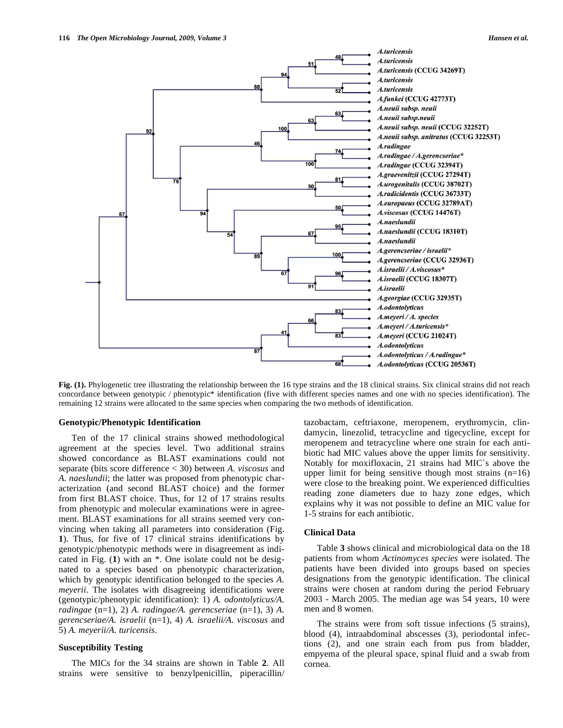

Fig. (1). Phylogenetic tree illustrating the relationship between the 16 type strains and the 18 clinical strains. Six clinical strains did not reach concordance between genotypic / phenotypic\* identification (five with different species names and one with no species identification). The remaining 12 strains were allocated to the same species when comparing the two methods of identification.

#### **Genotypic/Phenotypic Identification**

 Ten of the 17 clinical strains showed methodological agreement at the species level. Two additional strains showed concordance as BLAST examinations could not separate (bits score difference < 30) between *A. viscosus* and *A. naeslundii*; the latter was proposed from phenotypic characterization (and second BLAST choice) and the former from first BLAST choice. Thus, for 12 of 17 strains results from phenotypic and molecular examinations were in agreement. BLAST examinations for all strains seemed very convincing when taking all parameters into consideration (Fig. **1**). Thus, for five of 17 clinical strains identifications by genotypic/phenotypic methods were in disagreement as indicated in Fig. (**1**) with an \*. One isolate could not be designated to a species based on phenotypic characterization, which by genotypic identification belonged to the species *A. meyerii*. The isolates with disagreeing identifications were (genotypic/phenotypic identification): 1) *A. odontolyticus/A. radingae* (n=1), 2) *A. radingae/A. gerencseriae* (n=1), 3) *A. gerencseriae/A. israelii* (n=1), 4) *A. israelii/A. viscosus* and 5) *A. meyerii/A. turicensis*.

#### **Susceptibility Testing**

 The MICs for the 34 strains are shown in Table **2**. All strains were sensitive to benzylpenicillin, piperacillin/ tazobactam, ceftriaxone, meropenem, erythromycin, clindamycin, linezolid, tetracycline and tigecycline, except for meropenem and tetracycline where one strain for each antibiotic had MIC values above the upper limits for sensitivity. Notably for moxifloxacin, 21 strains had MIC`s above the upper limit for being sensitive though most strains  $(n=16)$ were close to the breaking point. We experienced difficulties reading zone diameters due to hazy zone edges, which explains why it was not possible to define an MIC value for 1-5 strains for each antibiotic.

# **Clinical Data**

 Table **3** shows clinical and microbiological data on the 18 patients from whom *Actinomyces species* were isolated. The patients have been divided into groups based on species designations from the genotypic identification. The clinical strains were chosen at random during the period February 2003 - March 2005. The median age was 54 years, 10 were men and 8 women.

 The strains were from soft tissue infections (5 strains), blood (4), intraabdominal abscesses (3), periodontal infections (2), and one strain each from pus from bladder, empyema of the pleural space, spinal fluid and a swab from cornea.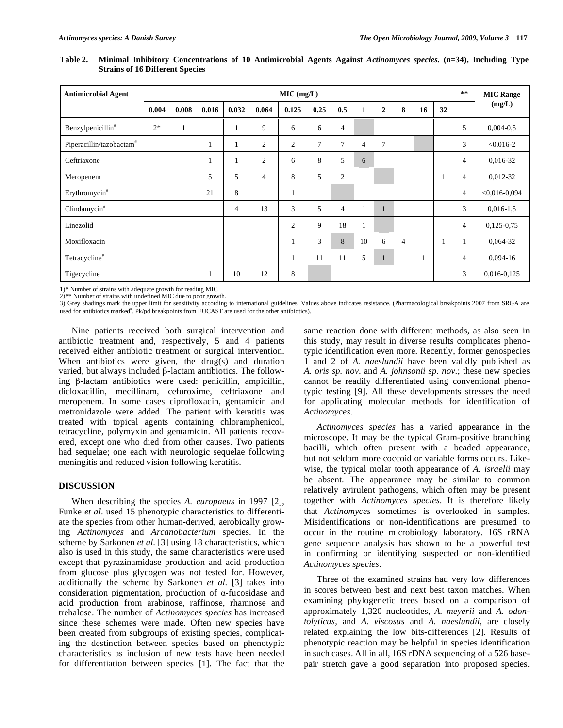| <b>Antimicrobial Agent</b>           | MIC (mg/L) |       |          |       |                |                |                |                |              |                | $\pm\pm$       | <b>MIC Range</b> |    |                |                   |
|--------------------------------------|------------|-------|----------|-------|----------------|----------------|----------------|----------------|--------------|----------------|----------------|------------------|----|----------------|-------------------|
|                                      | 0.004      | 0.008 | 0.016    | 0.032 | 0.064          | 0.125          | 0.25           | 0.5            | 1            | $\overline{2}$ | 8              | 16               | 32 |                | (mg/L)            |
| Benzylpenicillin <sup>#</sup>        | $2*$       |       |          |       | 9              | 6              | 6              | 4              |              |                |                |                  |    | 5              | $0,004-0,5$       |
| Piperacillin/tazobactam <sup>#</sup> |            |       |          |       | $\mathfrak{2}$ | $\overline{c}$ | $\overline{7}$ | $\overline{7}$ | 4            | $\overline{7}$ |                |                  |    | 3              | $< 0.016 - 2$     |
| Ceftriaxone                          |            |       |          | л.    | $\mathfrak{2}$ | 6              | 8              | 5              | 6            |                |                |                  |    | $\overline{4}$ | 0,016-32          |
| Meropenem                            |            |       | 5        | 5     | $\overline{4}$ | 8              | 5              | $\overline{2}$ |              |                |                |                  |    | $\overline{4}$ | $0,012-32$        |
| Erythromycin <sup>#</sup>            |            |       | 21       | 8     |                | 1              |                |                |              |                |                |                  |    | $\overline{4}$ | $< 0.016 - 0.094$ |
| Clindamycin <sup>#</sup>             |            |       |          | 4     | 13             | 3              | 5              | 4              | $\mathbf{1}$ | $\mathbf{1}$   |                |                  |    | 3              | $0,016-1,5$       |
| Linezolid                            |            |       |          |       |                | $\overline{c}$ | 9              | 18             | 1            |                |                |                  |    | $\overline{4}$ | $0,125-0,75$      |
| Moxifloxacin                         |            |       |          |       |                | 1              | 3              | 8              | 10           | 6              | $\overline{4}$ |                  |    | 1              | 0,064-32          |
| Tetracycline <sup>#</sup>            |            |       |          |       |                | 1              | 11             | 11             | 5            | 1              |                | 1                |    | $\overline{4}$ | $0,094-16$        |
| Tigecycline                          |            |       | $\bf{1}$ | 10    | 12             | 8              |                |                |              |                |                |                  |    | 3              | $0,016-0,125$     |

**Table 2. Minimal Inhibitory Concentrations of 10 Antimicrobial Agents Against** *Actinomyces species.* **(n=34), Including Type Strains of 16 Different Species** 

1)\* Number of strains with adequate growth for reading MIC

2)\*\* Number of strains with undefined MIC due to poor growth.

3) Grey shadings mark the upper limit for sensitivity according to international guidelines. Values above indicates resistance. (Pharmacological breakpoints 2007 from SRGA are used for antibiotics marked<sup>#</sup>. Pk/pd breakpoints from EUCAST are used for the other antibiotics).

 Nine patients received both surgical intervention and antibiotic treatment and, respectively, 5 and 4 patients received either antibiotic treatment or surgical intervention. When antibiotics were given, the drug(s) and duration varied, but always included  $\beta$ -lactam antibiotics. The following  $\beta$ -lactam antibiotics were used: penicillin, ampicillin, dicloxacillin, mecillinam, cefuroxime, ceftriaxone and meropenem. In some cases ciprofloxacin, gentamicin and metronidazole were added. The patient with keratitis was treated with topical agents containing chloramphenicol, tetracycline, polymyxin and gentamicin. All patients recovered, except one who died from other causes. Two patients had sequelae; one each with neurologic sequelae following meningitis and reduced vision following keratitis.

# **DISCUSSION**

 When describing the species *A. europaeus* in 1997 [2], Funke *et al*. used 15 phenotypic characteristics to differentiate the species from other human-derived, aerobically growing *Actinomyces* and *Arcanobacterium* species. In the scheme by Sarkonen *et al*. [3] using 18 characteristics, which also is used in this study, the same characteristics were used except that pyrazinamidase production and acid production from glucose plus glycogen was not tested for. However, additionally the scheme by Sarkonen *et al*. [3] takes into consideration pigmentation, production of  $\alpha$ -fucosidase and acid production from arabinose, raffinose, rhamnose and trehalose. The number of *Actinomyces species* has increased since these schemes were made. Often new species have been created from subgroups of existing species, complicating the destinction between species based on phenotypic characteristics as inclusion of new tests have been needed for differentiation between species [1]. The fact that the same reaction done with different methods, as also seen in this study, may result in diverse results complicates phenotypic identification even more. Recently, former genospecies 1 and 2 of *A. naeslundii* have been validly published as *A. oris sp. nov*. and *A. johnsonii sp. nov*.; these new species cannot be readily differentiated using conventional phenotypic testing [9]. All these developments stresses the need for applicating molecular methods for identification of *Actinomyces*.

 *Actinomyces species* has a varied appearance in the microscope. It may be the typical Gram-positive branching bacilli, which often present with a beaded appearance, but not seldom more coccoid or variable forms occurs. Likewise, the typical molar tooth appearance of *A. israelii* may be absent. The appearance may be similar to common relatively avirulent pathogens, which often may be present together with *Actinomyces species*. It is therefore likely that *Actinomyces* sometimes is overlooked in samples. Misidentifications or non-identifications are presumed to occur in the routine microbiology laboratory. 16S rRNA gene sequence analysis has shown to be a powerful test in confirming or identifying suspected or non-identified *Actinomyces species*.

 Three of the examined strains had very low differences in scores between best and next best taxon matches. When examining phylogenetic trees based on a comparison of approximately 1,320 nucleotides, *A. meyerii* and *A. odontolyticus,* and *A. viscosus* and *A. naeslundii,* are closely related explaining the low bits-differences [2]. Results of phenotypic reaction may be helpful in species identification in such cases. All in all, 16S rDNA sequencing of a 526 basepair stretch gave a good separation into proposed species.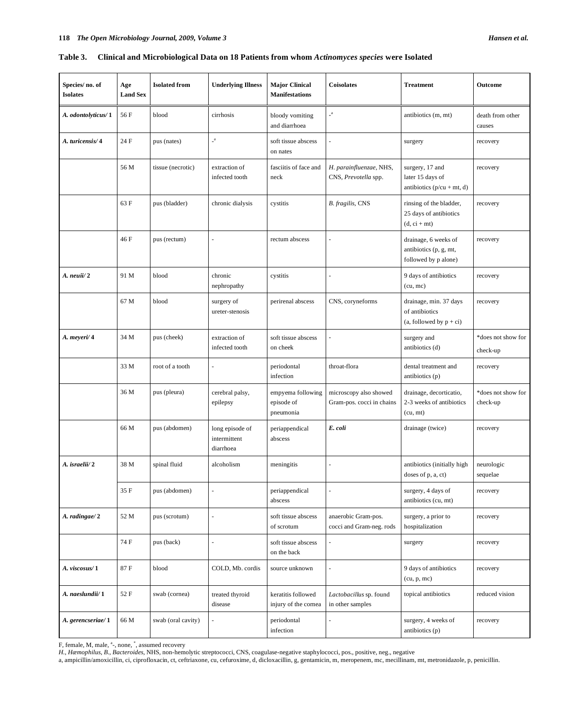|  |  | Table 3. Clinical and Microbiological Data on 18 Patients from whom Actinomyces species were Isolated |  |  |
|--|--|-------------------------------------------------------------------------------------------------------|--|--|
|--|--|-------------------------------------------------------------------------------------------------------|--|--|

| Species/no. of<br><b>Isolates</b> | Age<br><b>Land Sex</b> | <b>Isolated from</b> | <b>Underlying Illness</b>                    | <b>Major Clinical</b><br><b>Manifestations</b> | <b>Coisolates</b>                                   | <b>Treatment</b>                                                       | Outcome                        |
|-----------------------------------|------------------------|----------------------|----------------------------------------------|------------------------------------------------|-----------------------------------------------------|------------------------------------------------------------------------|--------------------------------|
| A. odontolyticus/1                | 56 F                   | blood                | cirrhosis                                    | bloody vomiting<br>and diarrhoea               | $\overline{\phantom{a}}^a$                          | antibiotics (m, mt)                                                    | death from other<br>causes     |
| A. turicensis/4                   | 24 F                   | pus (nates)          | $\mathbf{a}$                                 | soft tissue abscess<br>on nates                |                                                     | surgery                                                                | recovery                       |
|                                   | 56 M                   | tissue (necrotic)    | extraction of<br>infected tooth              | fasciitis of face and<br>neck                  | H. parainfluenzae, NHS,<br>CNS, Prevotella spp.     | surgery, 17 and<br>later 15 days of<br>antibiotics $(p/cu + mt, d)$    | recovery                       |
|                                   | 63 F                   | pus (bladder)        | chronic dialysis                             | cystitis                                       | B. fragilis, CNS                                    | rinsing of the bladder,<br>25 days of antibiotics<br>$(d, ci + mt)$    | recovery                       |
|                                   | 46 F                   | pus (rectum)         | ÷.                                           | rectum abscess                                 |                                                     | drainage, 6 weeks of<br>antibiotics (p, g, mt,<br>followed by p alone) | recovery                       |
| A. neuii/2                        | 91 M                   | blood                | chronic<br>nephropathy                       | cystitis                                       |                                                     | 9 days of antibiotics<br>(cu, mc)                                      | recovery                       |
|                                   | 67 M                   | blood                | surgery of<br>ureter-stenosis                | perirenal abscess                              | CNS, coryneforms                                    | drainage, min. 37 days<br>of antibiotics<br>$(a, followed by p + ci)$  | recovery                       |
| A. meyeri/4                       | 34 M                   | pus (cheek)          | extraction of<br>infected tooth              | soft tissue abscess<br>on cheek                |                                                     | surgery and<br>antibiotics (d)                                         | *does not show for<br>check-up |
|                                   | 33 M                   | root of a tooth      | ä,                                           | periodontal<br>infection                       | throat-flora                                        | dental treatment and<br>antibiotics (p)                                | recovery                       |
|                                   | 36 M                   | pus (pleura)         | cerebral palsy,<br>epilepsy                  | empyema following<br>episode of<br>pneumonia   | microscopy also showed<br>Gram-pos. cocci in chains | drainage, decorticatio,<br>2-3 weeks of antibiotics<br>(cu, mt)        | *does not show for<br>check-up |
|                                   | 66 M                   | pus (abdomen)        | long episode of<br>intermittent<br>diarrhoea | periappendical<br>abscess                      | E. coli                                             | drainage (twice)                                                       | recovery                       |
| A. israelii/2                     | 38 M                   | spinal fluid         | alcoholism                                   | meningitis                                     |                                                     | antibiotics (initially high<br>doses of p, a, ct)                      | neurologic<br>sequelae         |
|                                   | 35 F                   | pus (abdomen)        |                                              | periappendical<br>abscess                      |                                                     | surgery, 4 days of<br>antibiotics (cu, mt)                             | recovery                       |
| A. radingae/2                     | 52 M                   | pus (scrotum)        |                                              | soft tissue abscess<br>of scrotum              | anaerobic Gram-pos.<br>cocci and Gram-neg. rods     | surgery, a prior to<br>hospitalization                                 | recovery                       |
|                                   | 74 F                   | pus (back)           | ä,                                           | soft tissue abscess<br>on the back             | L.                                                  | surgery                                                                | recovery                       |
| A. viscosus/1                     | 87F                    | blood                | COLD, Mb. cordis                             | source unknown                                 |                                                     | 9 days of antibiotics<br>(cu, p, mc)                                   | recovery                       |
| A. naeslundii/1                   | 52F                    | swab (cornea)        | treated thyroid<br>disease                   | keratitis followed<br>injury of the cornea     | Lactobacillus sp. found<br>in other samples         | topical antibiotics                                                    | reduced vision                 |
| A. gerencseriae/1                 | 66 M                   | swab (oral cavity)   |                                              | periodontal<br>infection                       |                                                     | surgery, 4 weeks of<br>antibiotics (p)                                 | recovery                       |

F, female, M, male, <sup>a</sup>-, none, \*, assumed recovery<br>*H., Hæmophilus, B., Bacteroides*, NHS, non-hemolytic streptococci, CNS, coagulase-negative staphylococci, pos., positive, neg., negative

a, ampicillin/amoxicillin, ci, ciprofloxacin, ct, ceftriaxone, cu, cefuroxime, d, dicloxacillin, g, gentamicin, m, meropenem, mc, mecillinam, mt, metronidazole, p, penicillin.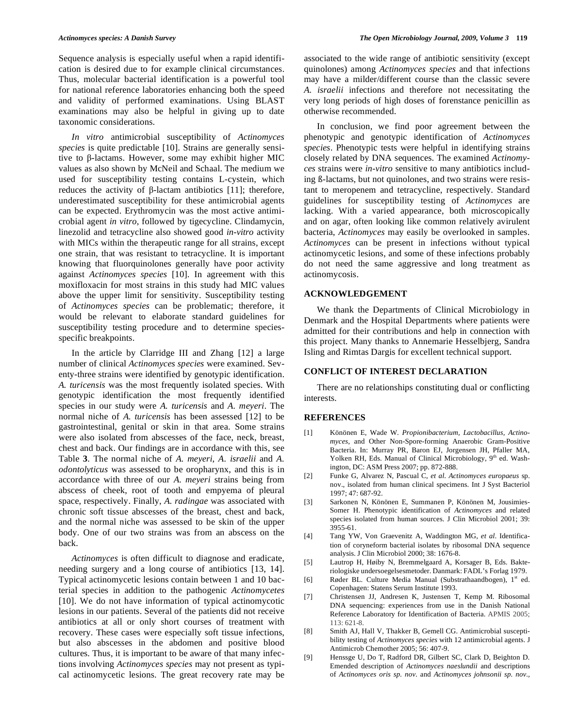Sequence analysis is especially useful when a rapid identification is desired due to for example clinical circumstances. Thus, molecular bacterial identification is a powerful tool for national reference laboratories enhancing both the speed and validity of performed examinations. Using BLAST examinations may also be helpful in giving up to date taxonomic considerations.

*In vitro* antimicrobial susceptibility of *Actinomyces species* is quite predictable [10]. Strains are generally sensitive to  $\beta$ -lactams. However, some may exhibit higher MIC values as also shown by McNeil and Schaal. The medium we used for susceptibility testing contains L-cystein, which reduces the activity of  $\beta$ -lactam antibiotics [11]; therefore, underestimated susceptibility for these antimicrobial agents can be expected. Erythromycin was the most active antimicrobial agent *in vitro*, followed by tigecycline. Clindamycin, linezolid and tetracycline also showed good *in-vitro* activity with MICs within the therapeutic range for all strains, except one strain, that was resistant to tetracycline. It is important knowing that fluorquinolones generally have poor activity against *Actinomyces species* [10]. In agreement with this moxifloxacin for most strains in this study had MIC values above the upper limit for sensitivity. Susceptibility testing of *Actinomyces species* can be problematic; therefore, it would be relevant to elaborate standard guidelines for susceptibility testing procedure and to determine speciesspecific breakpoints.

 In the article by Clarridge III and Zhang [12] a large number of clinical *Actinomyces species* were examined. Seventy-three strains were identified by genotypic identification. *A. turicensis* was the most frequently isolated species. With genotypic identification the most frequently identified species in our study were *A. turicensis* and *A. meyeri*. The normal niche of *A. turicensis* has been assessed [12] to be gastrointestinal, genital or skin in that area. Some strains were also isolated from abscesses of the face, neck, breast, chest and back. Our findings are in accordance with this, see Table **3**. The normal niche of *A. meyeri*, *A. israelii* and *A. odontolyticus* was assessed to be oropharynx, and this is in accordance with three of our *A. meyeri* strains being from abscess of cheek, root of tooth and empyema of pleural space, respectively. Finally, *A. radingae* was associated with chronic soft tissue abscesses of the breast, chest and back, and the normal niche was assessed to be skin of the upper body. One of our two strains was from an abscess on the back.

 *Actinomyces* is often difficult to diagnose and eradicate, needing surgery and a long course of antibiotics [13, 14]. Typical actinomycetic lesions contain between 1 and 10 bacterial species in addition to the pathogenic *Actinomycetes* [10]. We do not have information of typical actinomycotic lesions in our patients. Several of the patients did not receive antibiotics at all or only short courses of treatment with recovery. These cases were especially soft tissue infections, but also abscesses in the abdomen and positive blood cultures. Thus, it is important to be aware of that many infections involving *Actinomyces species* may not present as typical actinomycetic lesions. The great recovery rate may be associated to the wide range of antibiotic sensitivity (except quinolones) among *Actinomyces species* and that infections may have a milder/different course than the classic severe *A. israelii* infections and therefore not necessitating the very long periods of high doses of forenstance penicillin as otherwise recommended.

 In conclusion, we find poor agreement between the phenotypic and genotypic identification of *Actinomyces species*. Phenotypic tests were helpful in identifying strains closely related by DNA sequences. The examined *Actinomyces* strains were *in-vitro* sensitive to many antibiotics including ß-lactams, but not quinolones, and two strains were resistant to meropenem and tetracycline, respectively. Standard guidelines for susceptibility testing of *Actinomyces* are lacking. With a varied appearance, both microscopically and on agar, often looking like common relatively avirulent bacteria, *Actinomyces* may easily be overlooked in samples. *Actinomyces* can be present in infections without typical actinomycetic lesions, and some of these infections probably do not need the same aggressive and long treatment as actinomycosis.

# **ACKNOWLEDGEMENT**

 We thank the Departments of Clinical Microbiology in Denmark and the Hospital Departments where patients were admitted for their contributions and help in connection with this project. Many thanks to Annemarie Hesselbjerg, Sandra Isling and Rimtas Dargis for excellent technical support.

# **CONFLICT OF INTEREST DECLARATION**

 There are no relationships constituting dual or conflicting interests.

#### **REFERENCES**

- [1] Könönen E, Wade W. *Propionibacterium, Lactobacillus, Actinomyces*, and Other Non-Spore-forming Anaerobic Gram-Positive Bacteria. In: Murray PR, Baron EJ, Jorgensen JH, Pfaller MA, Yolken RH, Eds. Manual of Clinical Microbiology, 9<sup>th</sup> ed. Washington, DC: ASM Press 2007; pp. 872-888.
- [2] Funke G, Alvarez N, Pascual C, *et al*. *Actinomyces europaeus* sp. nov., isolated from human clinical specimens. Int J Syst Bacteriol 1997; 47: 687-92.
- [3] Sarkonen N, Könönen E, Summanen P, Könönen M, Jousimies-Somer H. Phenotypic identification of *Actinomyces* and related species isolated from human sources. J Clin Microbiol 2001; 39: 3955-61.
- [4] Tang YW, Von Graevenitz A, Waddington MG, *et al*. Identification of coryneform bacterial isolates by ribosomal DNA sequence analysis. J Clin Microbiol 2000; 38: 1676-8.
- [5] Lautrop H, Høiby N, Bremmelgaard A, Korsager B, Eds. Bakteriologiske undersoegelsesmetoder. Danmark: FADL's Forlag 1979.
- [6] Røder BL. Culture Media Manual (Substrathaandbogen), 1<sup>st</sup> ed. Copenhagen: Statens Serum Institute 1993.
- [7] Christensen JJ, Andresen K, Justensen T, Kemp M. Ribosomal DNA sequencing: experiences from use in the Danish National Reference Laboratory for Identification of Bacteria. APMIS 2005; 113: 621-8.
- [8] Smith AJ, Hall V, Thakker B, Gemell CG. Antimicrobial susceptibility testing of *Actinomyces species* with 12 antimicrobial agents. J Antimicrob Chemother 2005; 56: 407-9.
- [9] Henssge U, Do T, Radford DR, Gilbert SC, Clark D, Beighton D. Emended description of *Actinomyces naeslundii* and descriptions of *Actinomyces oris sp. nov*. and *Actinomyces johnsonii sp. nov.,*